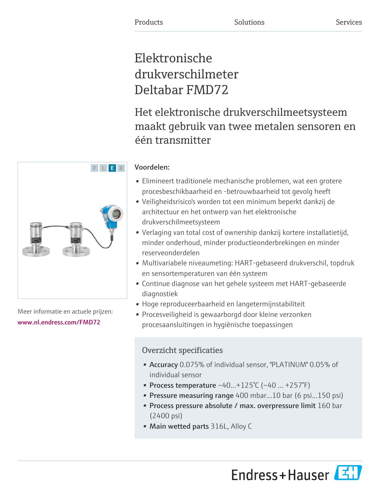# Elektronische drukverschilmeter Deltabar FMD72

Het elektronische drukverschilmeetsysteem maakt gebruik van twee metalen sensoren en één transmitter

## Voordelen:

- Elimineert traditionele mechanische problemen, wat een grotere procesbeschikbaarheid en -betrouwbaarheid tot gevolg heeft
- Veiligheidsrisico's worden tot een minimum beperkt dankzij de architectuur en het ontwerp van het elektronische drukverschilmeetsysteem
- Verlaging van total cost of ownership dankzij kortere installatietijd, minder onderhoud, minder productieonderbrekingen en minder reserveonderdelen
- Multivariabele niveaumeting: HART-gebaseerd drukverschil, topdruk en sensortemperaturen van één systeem
- Continue diagnose van het gehele systeem met HART-gebaseerde diagnostiek
- Hoge reproduceerbaarheid en langetermijnstabiliteit
- Procesveiligheid is gewaarborgd door kleine verzonken procesaansluitingen in hygiënische toepassingen

## Overzicht specificaties

- Accuracy 0.075% of individual sensor, "PLATINUM" 0.05% of individual sensor
- Process temperature  $-40...+125^{\circ}C$  ( $-40...+257^{\circ}F$ )
- Pressure measuring range 400 mbar...10 bar (6 psi...150 psi)
- Process pressure absolute / max. overpressure limit 160 bar (2400 psi)
- Main wetted parts 316L, Alloy C



Meer informatie en actuele prijzen: [www.nl.endress.com/FMD72](https://www.nl.endress.com/FMD72)

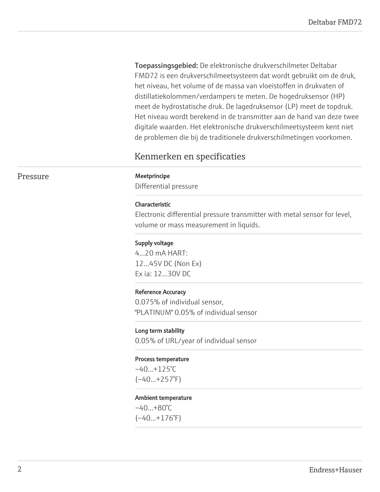Toepassingsgebied: De elektronische drukverschilmeter Deltabar FMD72 is een drukverschilmeetsysteem dat wordt gebruikt om de druk, het niveau, het volume of de massa van vloeistoffen in drukvaten of distillatiekolommen/verdampers te meten. De hogedruksensor (HP) meet de hydrostatische druk. De lagedruksensor (LP) meet de topdruk. Het niveau wordt berekend in de transmitter aan de hand van deze twee digitale waarden. Het elektronische drukverschilmeetsysteem kent niet de problemen die bij de traditionele drukverschilmetingen voorkomen.

## Kenmerken en specificaties

#### Pressure Meetprincipe

Differential pressure

#### Characteristic

Electronic differential pressure transmitter with metal sensor for level, volume or mass measurement in liquids.

#### Supply voltage

4...20 mA HART: 12...45V DC (Non Ex) Ex ia: 12...30V DC

#### Reference Accuracy

0.075% of individual sensor, "PLATINUM" 0.05% of individual sensor

Long term stability 0.05% of URL/year of individual sensor

#### Process temperature

 $-40...+125$ °C  $(-40...+257^{\circ}F)$ 

#### Ambient temperature

 $-40...+80°C$  $(-40...+176°F)$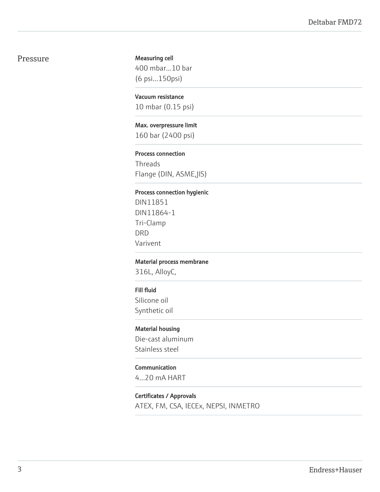#### Pressure

#### Measuring cell

400 mbar...10 bar (6 psi...150psi)

#### Vacuum resistance

10 mbar (0.15 psi)

#### Max. overpressure limit

160 bar (2400 psi)

#### Process connection

Threads Flange (DIN, ASME,JIS)

#### Process connection hygienic

DIN11851 DIN11864-1 Tri-Clamp DRD Varivent

#### Material process membrane

316L, AlloyC,

#### Fill fluid

Silicone oil Synthetic oil

#### Material housing

Die-cast aluminum Stainless steel

### Communication

4...20 mA HART

#### Certificates / Approvals

ATEX, FM, CSA, IECEx, NEPSI, INMETRO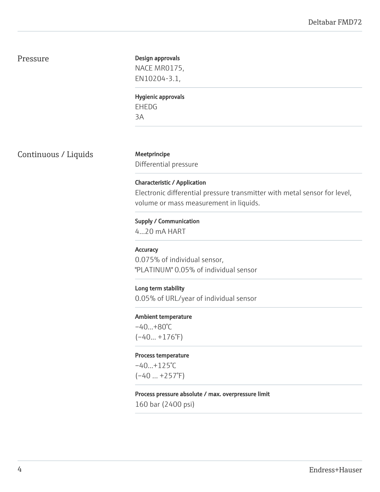#### Pressure

#### Design approvals

NACE MR0175, EN10204-3.1,

Hygienic approvals EHEDG 3A

Continuous / Liquids Meetprincipe

Differential pressure

Characteristic / Application Electronic differential pressure transmitter with metal sensor for level, volume or mass measurement in liquids.

Supply / Communication 4...20 mA HART

#### **Accuracy**

0.075% of individual sensor, "PLATINUM" 0.05% of individual sensor

#### Long term stability

0.05% of URL/year of individual sensor

#### Ambient temperature

–40...+80°C  $(-40... + 176°F)$ 

#### Process temperature

 $-40...+125$ °C  $(-40 ... +257)$ <sup>°</sup>F)

#### Process pressure absolute / max. overpressure limit

160 bar (2400 psi)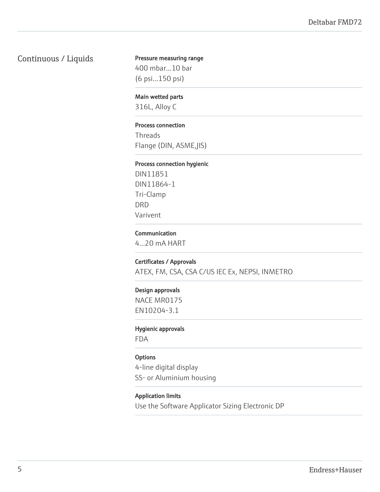## Continuous / Liquids

## Pressure measuring range

400 mbar...10 bar (6 psi...150 psi)

#### Main wetted parts

316L, Alloy C

#### Process connection

Threads Flange (DIN, ASME,JIS)

#### Process connection hygienic

DIN11851 DIN11864-1 Tri-Clamp DRD Varivent

#### Communication

4...20 mA HART

#### Certificates / Approvals

ATEX, FM, CSA, CSA C/US IEC Ex, NEPSI, INMETRO

#### Design approvals

NACE MR0175 EN10204-3.1

#### Hygienic approvals

FDA

#### **Options**

4-line digital display SS- or Aluminium housing

#### Application limits

Use the Software Applicator Sizing Electronic DP